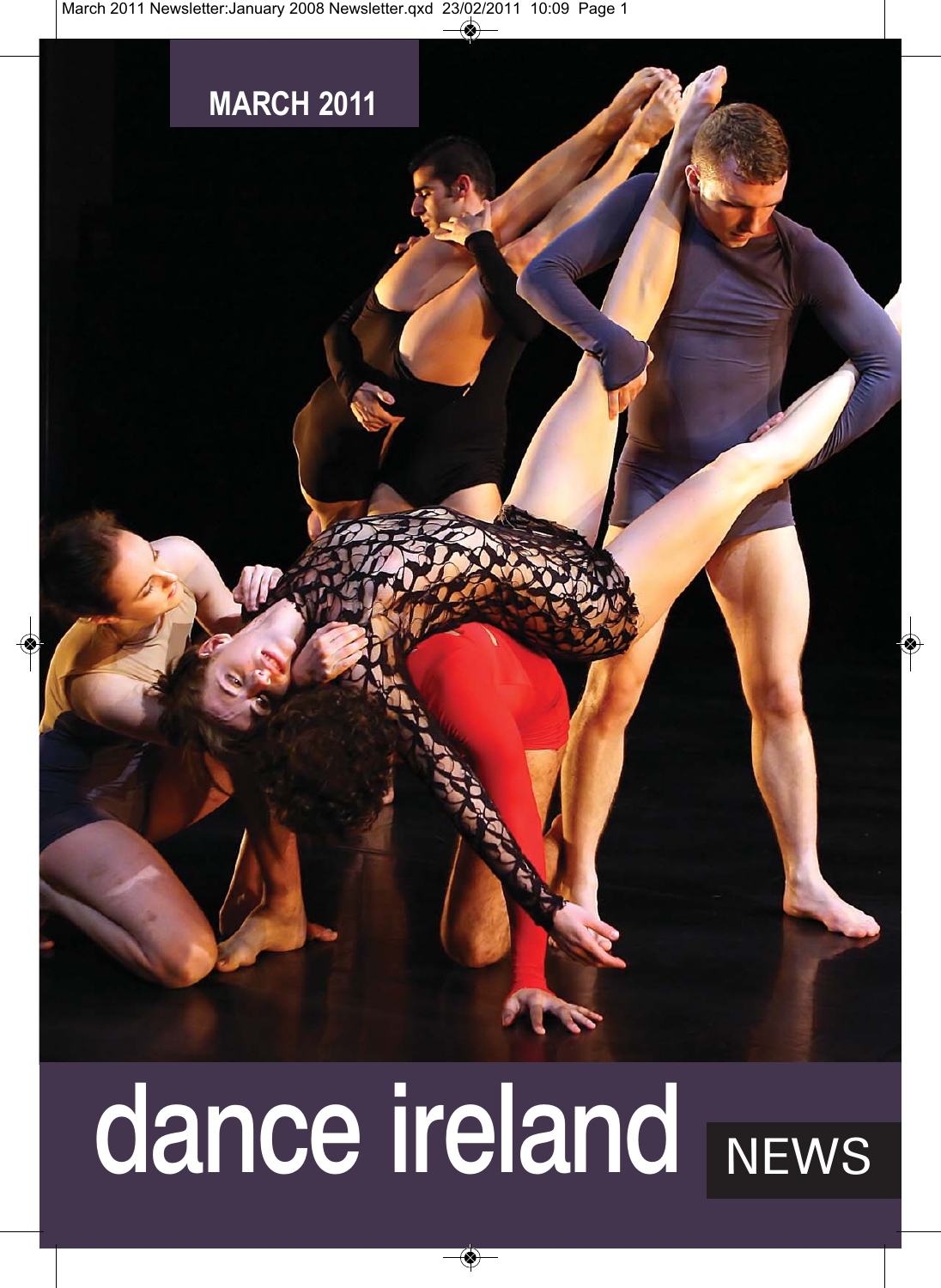

# dance ireland NEWS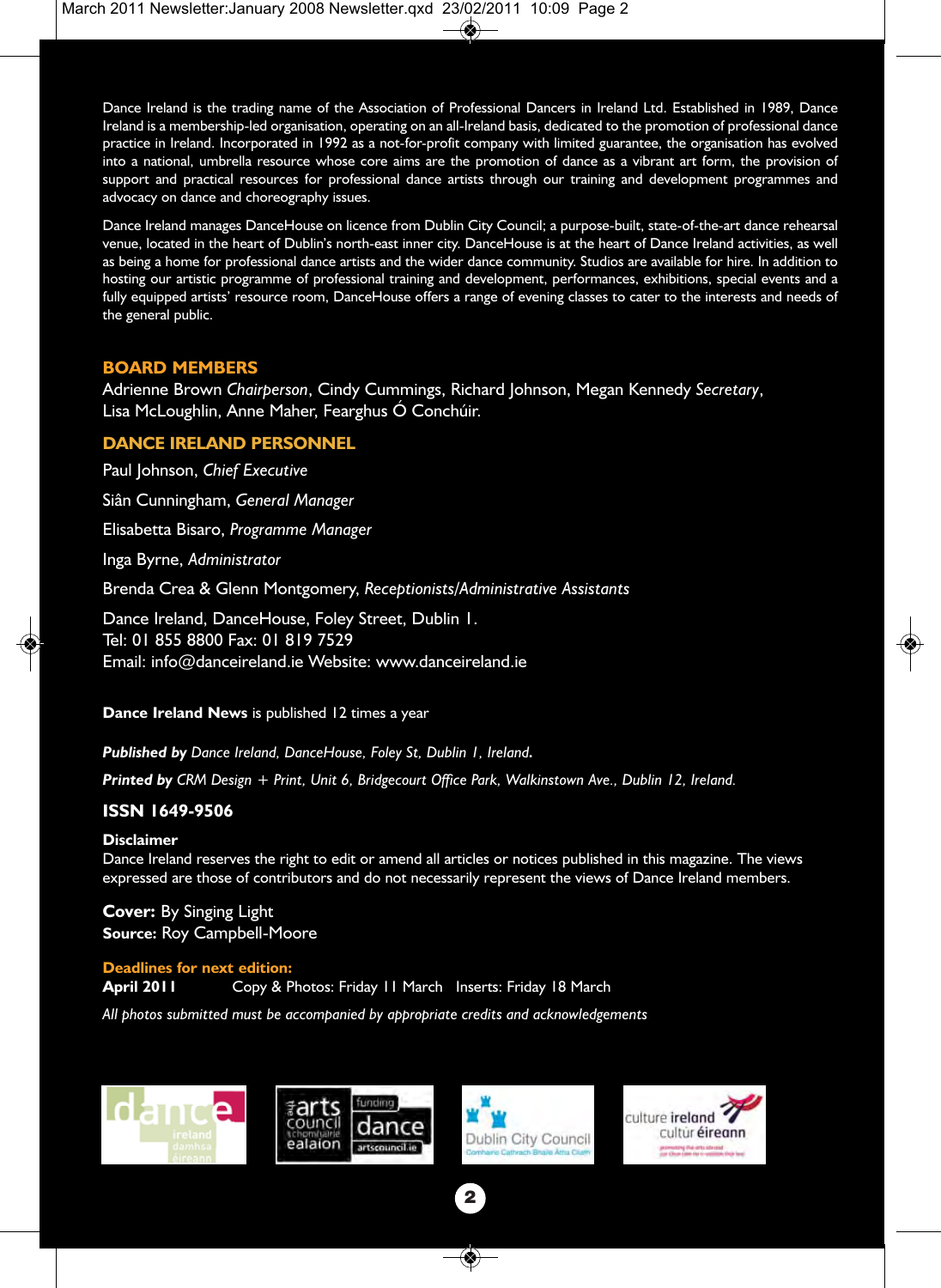Dance Ireland is the trading name of the Association of Professional Dancers in Ireland Ltd. Established in 1989, Dance Ireland is a membership-led organisation, operating on an all-Ireland basis, dedicated to the promotion of professional dance practice in Ireland. Incorporated in 1992 as a not-for-profit company with limited guarantee, the organisation has evolved into a national, umbrella resource whose core aims are the promotion of dance as a vibrant art form, the provision of support and practical resources for professional dance artists through our training and development programmes and advocacy on dance and choreography issues.

Dance Ireland manages DanceHouse on licence from Dublin City Council; a purpose-built, state-of-the-art dance rehearsal venue, located in the heart of Dublin's north-east inner city. DanceHouse is at the heart of Dance Ireland activities, as well as being a home for professional dance artists and the wider dance community. Studios are available for hire. In addition to hosting our artistic programme of professional training and development, performances, exhibitions, special events and a fully equipped artists' resource room, DanceHouse offers a range of evening classes to cater to the interests and needs of the general public.

#### **BOARD MEMBERS**

Adrienne Brown *Chairperson*, Cindy Cummings, Richard Johnson, Megan Kennedy *Secretary*, Lisa McLoughlin, Anne Maher, Fearghus Ó Conchúir.

#### **DANCE IRELAND PERSONNEL**

Paul Johnson, *Chief Executive*

Siân Cunningham, *General Manager* 

Elisabetta Bisaro, *Programme Manager* 

Inga Byrne, *Administrator* 

Brenda Crea & Glenn Montgomery, *Receptionists/Administrative Assistants* 

Dance Ireland, DanceHouse, Foley Street, Dublin 1. Tel: 01 855 8800 Fax: 01 819 7529 Email: info@danceireland.ie Website: www.danceireland.ie

**Dance Ireland News** is published 12 times a year

*Published by Dance Ireland, DanceHouse, Foley St, Dublin 1, Ireland.*

*Printed by CRM Design + Print, Unit 6, Bridgecourt Office Park, Walkinstown Ave., Dublin 12, Ireland.*

#### **ISSN 1649-9506**

#### **Disclaimer**

Dance Ireland reserves the right to edit or amend all articles or notices published in this magazine. The views expressed are those of contributors and do not necessarily represent the views of Dance Ireland members.

**Cover:** By Singing Light **Source:** Roy Campbell-Moore

#### **Deadlines for next edition:**

**April 2011** Copy & Photos: Friday 11 March Inserts: Friday 18 March

*All photos submitted must be accompanied by appropriate credits and acknowledgements*







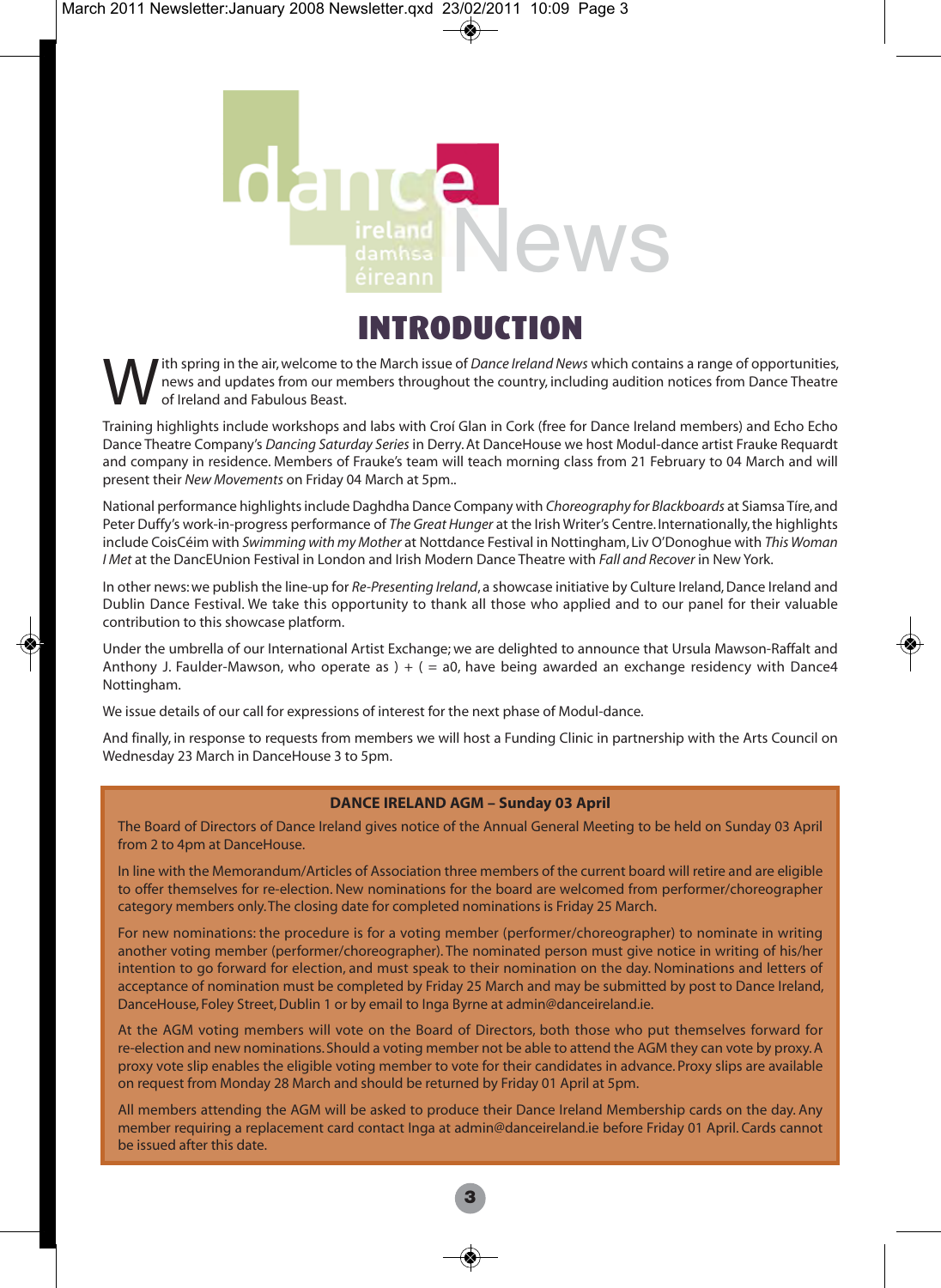

### INTRODUCTION

ith spring in the air, welcome to the March issue of *Dance Ireland News* which contains a range of opportunities, news and updates from our members throughout the country, including audition notices from Dance Theatre of Ireland and Fabulous Beast.

Training highlights include workshops and labs with Croí Glan in Cork (free for Dance Ireland members) and Echo Echo Dance Theatre Company's *Dancing Saturday Series* in Derry. At DanceHouse we host Modul-dance artist Frauke Requardt and company in residence. Members of Frauke's team will teach morning class from 21 February to 04 March and will present their *New Movements* on Friday 04 March at 5pm..

National performance highlights include Daghdha Dance Company with *Choreography for Blackboards* at Siamsa Tíre, and Peter Duffy's work-in-progress performance of *The Great Hunger* at the Irish Writer's Centre. Internationally, the highlights include CoisCéim with *Swimming with my Mother* at Nottdance Festival in Nottingham, Liv O'Donoghue with *This Woman I Met* at the DancEUnion Festival in London and Irish Modern Dance Theatre with *Fall and Recover* in New York.

In other news: we publish the line-up for *Re-Presenting Ireland*, a showcase initiative by Culture Ireland, Dance Ireland and Dublin Dance Festival. We take this opportunity to thank all those who applied and to our panel for their valuable contribution to this showcase platform.

Under the umbrella of our International Artist Exchange; we are delighted to announce that Ursula Mawson-Raffalt and Anthony J. Faulder-Mawson, who operate as  $) + ( = a0)$ , have being awarded an exchange residency with Dance4 Nottingham.

We issue details of our call for expressions of interest for the next phase of Modul-dance.

And finally, in response to requests from members we will host a Funding Clinic in partnership with the Arts Council on Wednesday 23 March in DanceHouse 3 to 5pm.

#### **DANCE IRELAND AGM – Sunday 03 April**

The Board of Directors of Dance Ireland gives notice of the Annual General Meeting to be held on Sunday 03 April from 2 to 4pm at DanceHouse.

In line with the Memorandum/Articles of Association three members of the current board will retire and are eligible to offer themselves for re-election. New nominations for the board are welcomed from performer/choreographer category members only. The closing date for completed nominations is Friday 25 March.

For new nominations: the procedure is for a voting member (performer/choreographer) to nominate in writing another voting member (performer/choreographer). The nominated person must give notice in writing of his/her intention to go forward for election, and must speak to their nomination on the day. Nominations and letters of acceptance of nomination must be completed by Friday 25 March and may be submitted by post to Dance Ireland, DanceHouse, Foley Street, Dublin 1 or by email to Inga Byrne at admin@danceireland.ie.

At the AGM voting members will vote on the Board of Directors, both those who put themselves forward for re-election and new nominations. Should a voting member not be able to attend the AGM they can vote by proxy. A proxy vote slip enables the eligible voting member to vote for their candidates in advance. Proxy slips are available on request from Monday 28 March and should be returned by Friday 01 April at 5pm.

All members attending the AGM will be asked to produce their Dance Ireland Membership cards on the day. Any member requiring a replacement card contact Inga at admin@danceireland.ie before Friday 01 April. Cards cannot be issued after this date.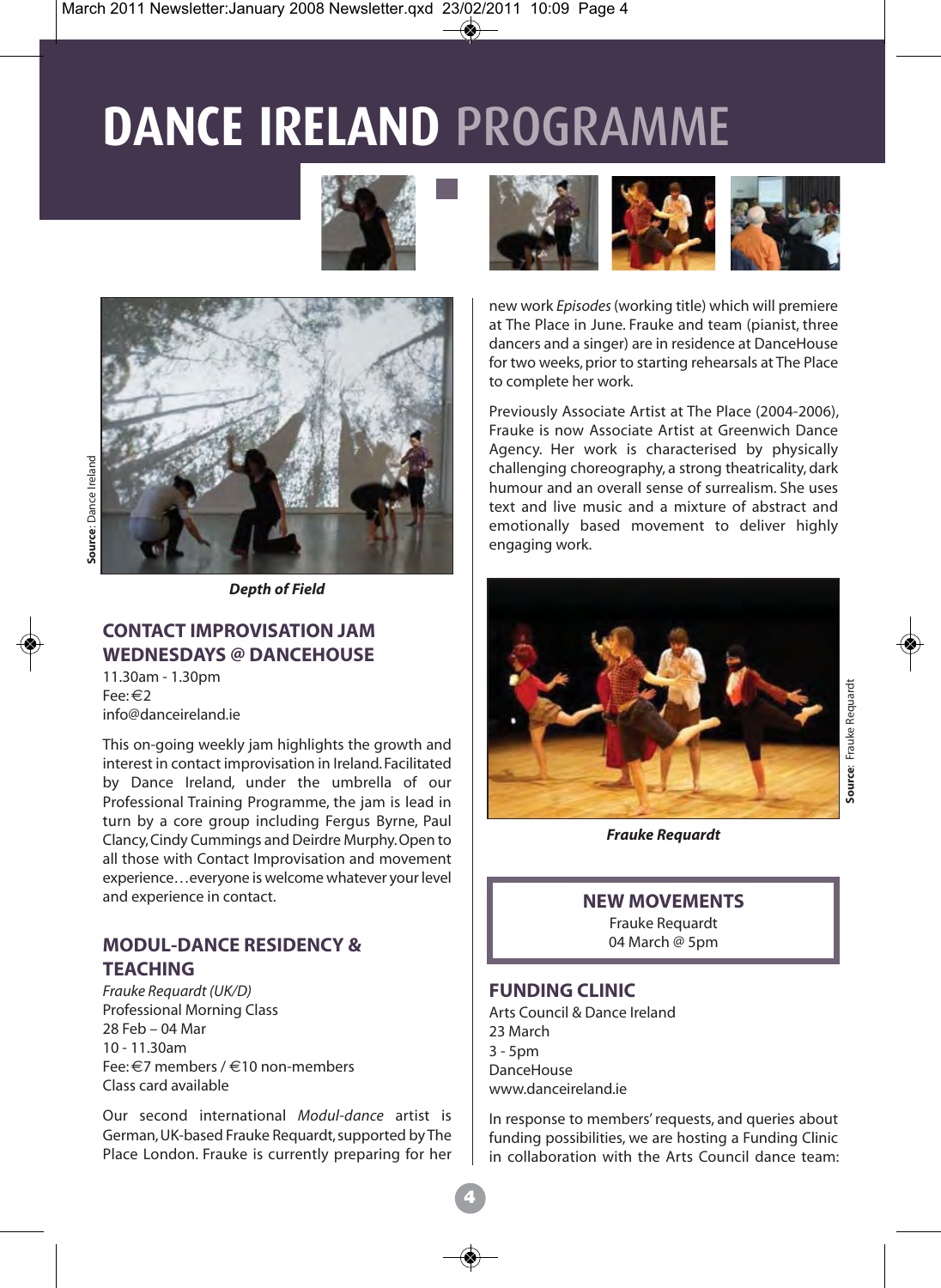# **DANCE IRELAND** PROGRAMME





*Depth of Field*

#### **CONTACT IMPROVISATION JAM WEDNESDAYS @ DANCEHOUSE**

11.30am - 1.30pm Fee: €2 info@danceireland.ie

This on-going weekly jam highlights the growth and interest in contact improvisation in Ireland. Facilitated by Dance Ireland, under the umbrella of our Professional Training Programme, the jam is lead in turn by a core group including Fergus Byrne, Paul Clancy, Cindy Cummings and Deirdre Murphy. Open to all those with Contact Improvisation and movement experience…everyone is welcome whatever your level and experience in contact.

#### **MODUL-DANCE RESIDENCY & TEACHING**

*Frauke Requardt (UK/D)* Professional Morning Class 28 Feb – 04 Mar 10 - 11.30am Fee: €7 members / €10 non-members Class card available

Our second international *Modul-dance* artist is German, UK-based Frauke Requardt, supported by The Place London. Frauke is currently preparing for her



new work *Episodes* (working title) which will premiere at The Place in June. Frauke and team (pianist, three dancers and a singer) are in residence at DanceHouse for two weeks, prior to starting rehearsals at The Place to complete her work.

Previously Associate Artist at The Place (2004-2006), Frauke is now Associate Artist at Greenwich Dance Agency. Her work is characterised by physically challenging choreography, a strong theatricality, dark humour and an overall sense of surrealism. She uses text and live music and a mixture of abstract and emotionally based movement to deliver highly engaging work.



*Frauke Requardt*

#### **NEW MOVEMENTS**

Frauke Requardt 04 March @ 5pm

#### **FUNDING CLINIC**

Arts Council & Dance Ireland 23 March  $3 - 5$ pm DanceHouse www.danceireland.ie

In response to members' requests, and queries about funding possibilities, we are hosting a Funding Clinic in collaboration with the Arts Council dance team: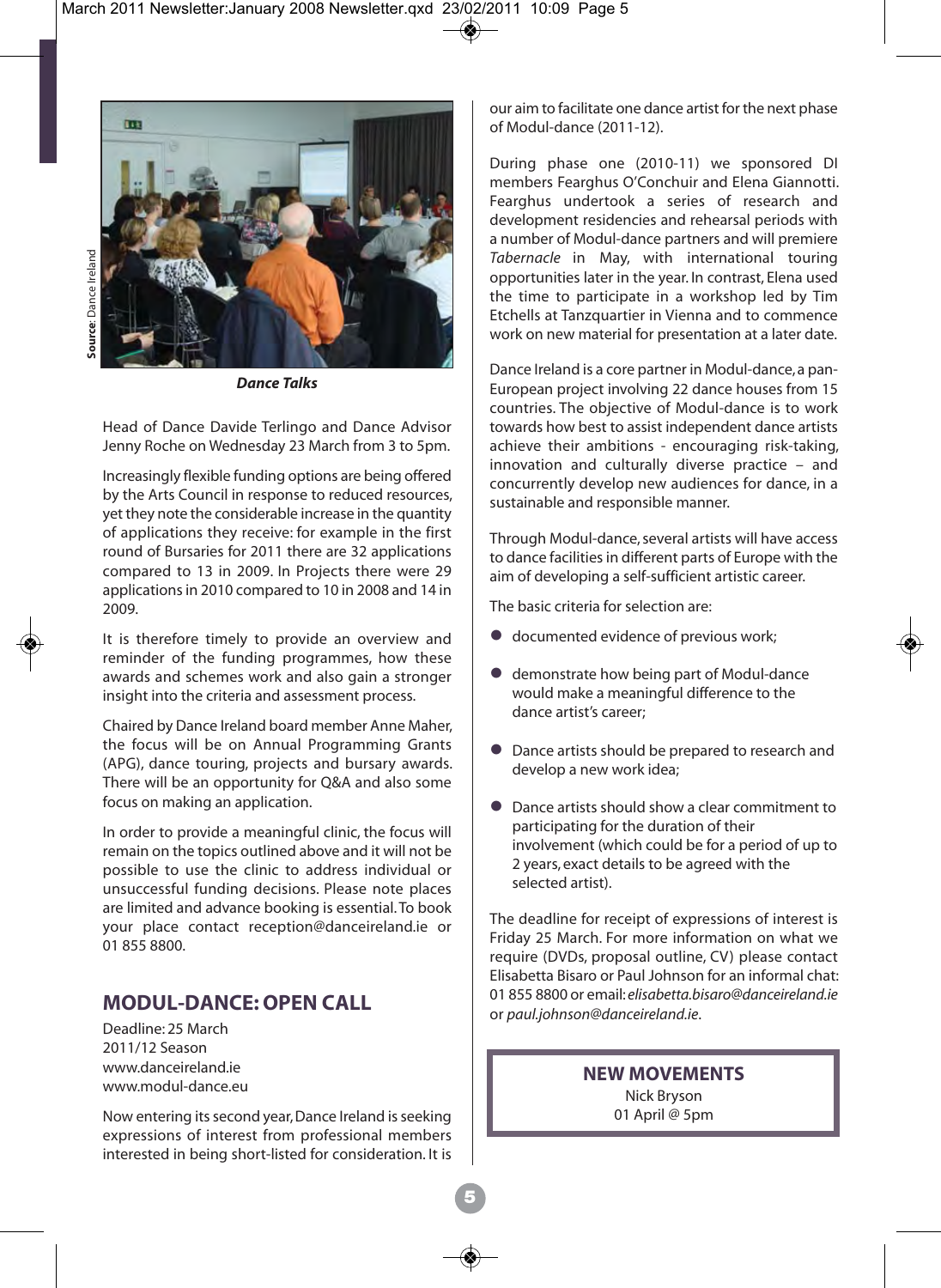

*Dance Talks*

Head of Dance Davide Terlingo and Dance Advisor Jenny Roche on Wednesday 23 March from 3 to 5pm.

Increasingly flexible funding options are being offered by the Arts Council in response to reduced resources, yet they note the considerable increase in the quantity of applications they receive: for example in the first round of Bursaries for 2011 there are 32 applications compared to 13 in 2009. In Projects there were 29 applications in 2010 compared to 10 in 2008 and 14 in 2009.

It is therefore timely to provide an overview and reminder of the funding programmes, how these awards and schemes work and also gain a stronger insight into the criteria and assessment process.

Chaired by Dance Ireland board member Anne Maher, the focus will be on Annual Programming Grants (APG), dance touring, projects and bursary awards. There will be an opportunity for Q&A and also some focus on making an application.

In order to provide a meaningful clinic, the focus will remain on the topics outlined above and it will not be possible to use the clinic to address individual or unsuccessful funding decisions. Please note places are limited and advance booking is essential. To book your place contact reception@danceireland.ie or 01 855 8800.

#### **MODUL-DANCE: OPEN CALL**

Deadline: 25 March 2011/12 Season www.danceireland.ie www.modul-dance.eu

Now entering its second year, Dance Ireland is seeking expressions of interest from professional members interested in being short-listed for consideration. It is our aim to facilitate one dance artist for the next phase of Modul-dance (2011-12).

During phase one (2010-11) we sponsored DI members Fearghus O'Conchuir and Elena Giannotti. Fearghus undertook a series of research and development residencies and rehearsal periods with a number of Modul-dance partners and will premiere *Tabernacle* in May, with international touring opportunities later in the year. In contrast, Elena used the time to participate in a workshop led by Tim Etchells at Tanzquartier in Vienna and to commence work on new material for presentation at a later date.

Dance Ireland is a core partner in Modul-dance, a pan-European project involving 22 dance houses from 15 countries. The objective of Modul-dance is to work towards how best to assist independent dance artists achieve their ambitions - encouraging risk-taking, innovation and culturally diverse practice – and concurrently develop new audiences for dance, in a sustainable and responsible manner.

Through Modul-dance, several artists will have access to dance facilities in different parts of Europe with the aim of developing a self-sufficient artistic career.

The basic criteria for selection are:

- $\bullet$  documented evidence of previous work:
- demonstrate how being part of Modul-dance would make a meaningful difference to the dance artist's career;
- **•** Dance artists should be prepared to research and develop a new work idea;
- Dance artists should show a clear commitment to participating for the duration of their involvement (which could be for a period of up to 2 years, exact details to be agreed with the selected artist).

The deadline for receipt of expressions of interest is Friday 25 March. For more information on what we require (DVDs, proposal outline, CV) please contact Elisabetta Bisaro or Paul Johnson for an informal chat: 01 855 8800 or email: *elisabetta.bisaro@danceireland.ie* or *paul.johnson@danceireland.ie*.

#### **NEW MOVEMENTS**

Nick Bryson 01 April @ 5pm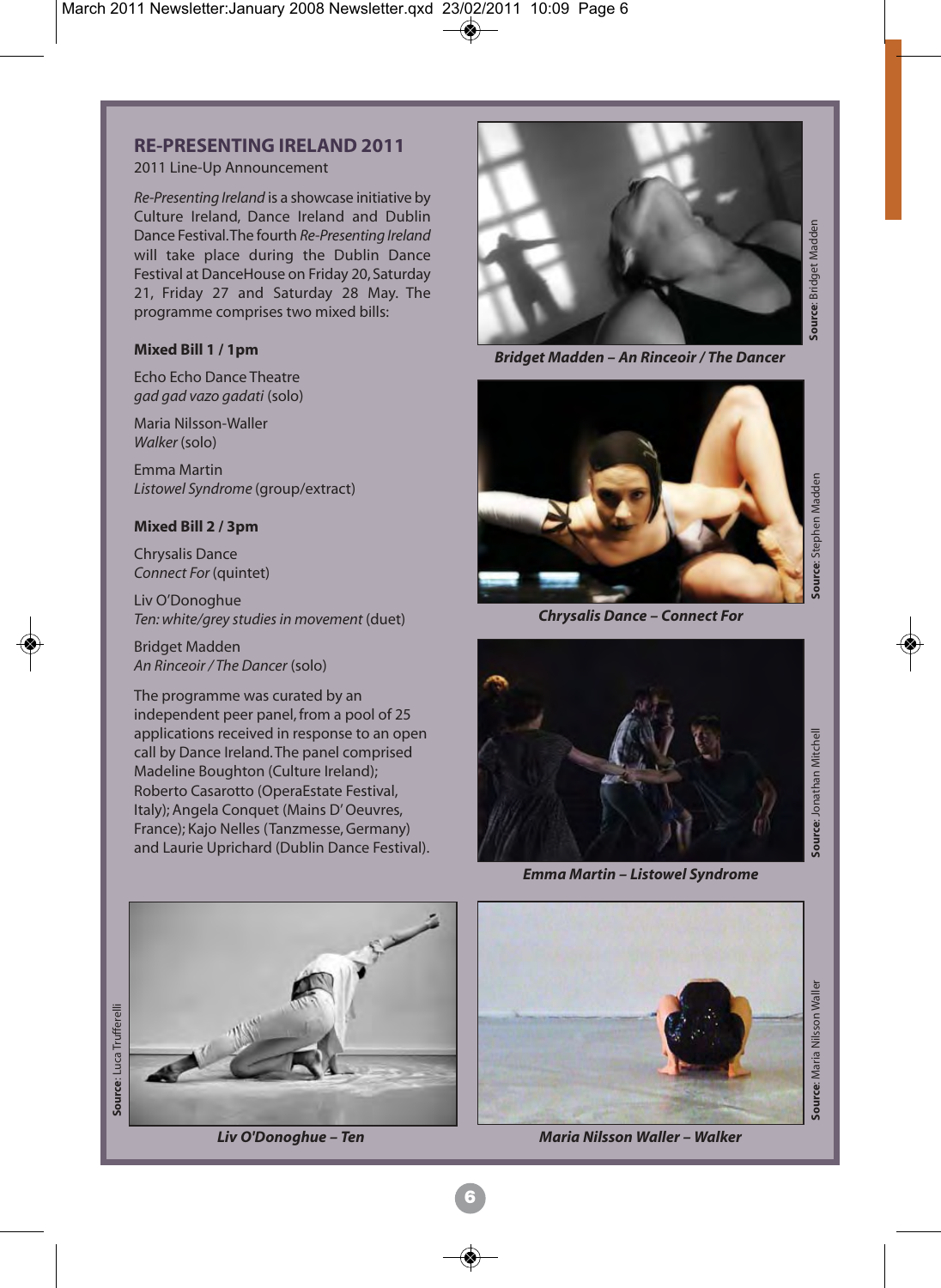#### **RE-PRESENTING IRELAND 2011**

#### 2011 Line-Up Announcement

*Re-Presenting Ireland* is a showcase initiative by Culture Ireland, Dance Ireland and Dublin Dance Festival. The fourth *Re-Presenting Ireland* will take place during the Dublin Dance Festival at DanceHouse on Friday 20, Saturday 21, Friday 27 and Saturday 28 May. The programme comprises two mixed bills:

#### **Mixed Bill 1 / 1pm**

Echo Echo Dance Theatre *gad gad vazo gadati* (solo)

Maria Nilsson-Waller *Walker* (solo)

Emma Martin *Listowel Syndrome* (group/extract)

#### **Mixed Bill 2 / 3pm**

Chrysalis Dance *Connect For* (quintet)

Liv O'Donoghue *Ten: white/grey studies in movement* (duet)

Bridget Madden *An Rinceoir / The Dancer* (solo)

The programme was curated by an independent peer panel, from a pool of 25 applications received in response to an open call by Dance Ireland. The panel comprised Madeline Boughton (Culture Ireland); Roberto Casarotto (OperaEstate Festival, Italy); Angela Conquet (Mains D' Oeuvres, France); Kajo Nelles (Tanzmesse, Germany) and Laurie Uprichard (Dublin Dance Festival).



*Liv O'Donoghue – Ten*



*Bridget Madden – An Rinceoir / The Dancer*



*Chrysalis Dance – Connect For*



*Emma Martin – Listowel Syndrome*



*Maria Nilsson Waller – Walker*

source: Jonathan Mitchell **Source**: Jonathan Mitchell

source: Luca Trufferelli **Source**: Luca Trufferelli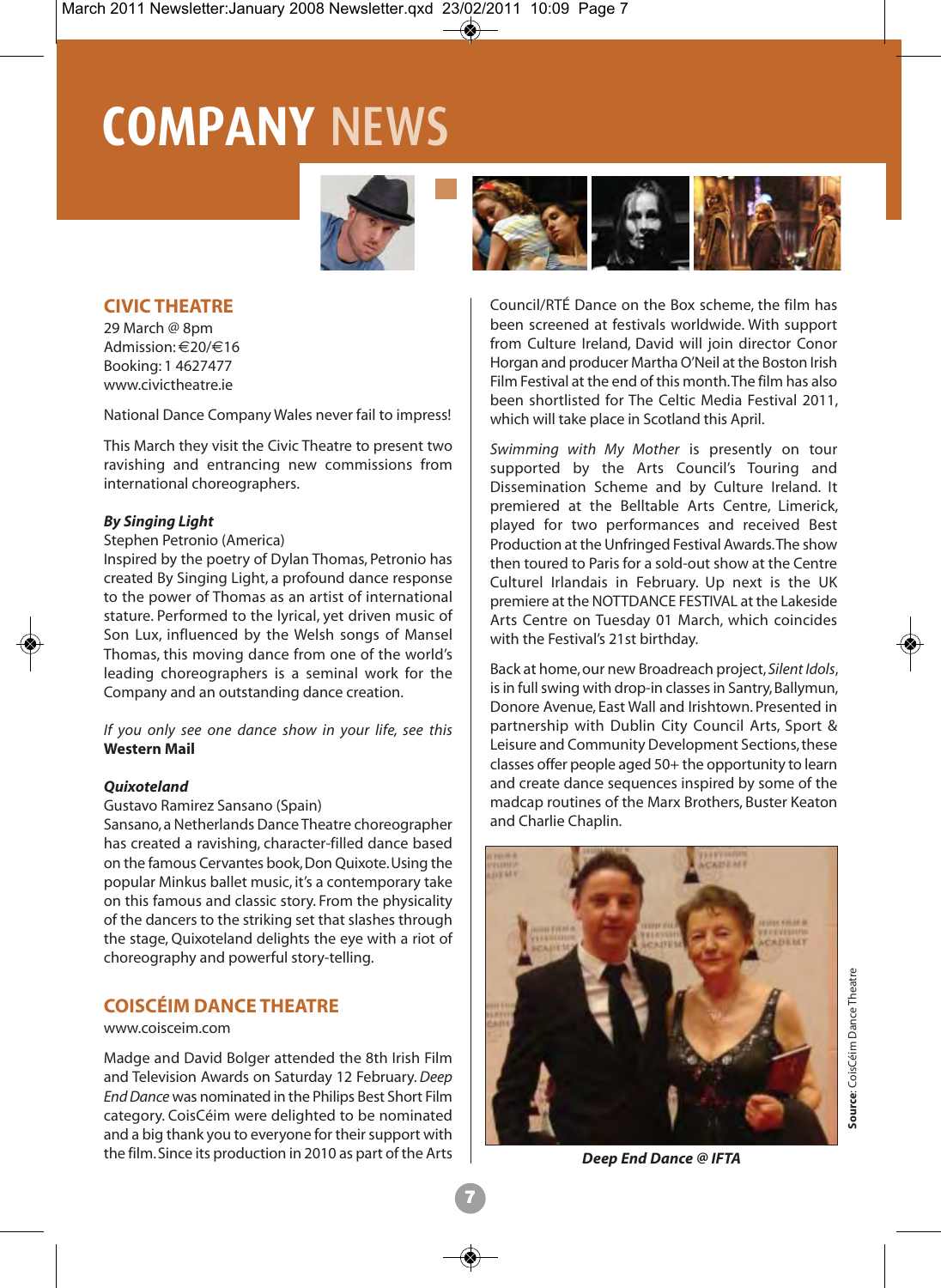# **COMPANY** NEWS





29 March @ 8pm Admission: €20/€16 Booking: 1 4627477 www.civictheatre.ie

National Dance Company Wales never fail to impress!

This March they visit the Civic Theatre to present two ravishing and entrancing new commissions from international choreographers.

#### *By Singing Light*

#### Stephen Petronio (America)

Inspired by the poetry of Dylan Thomas, Petronio has created By Singing Light, a profound dance response to the power of Thomas as an artist of international stature. Performed to the lyrical, yet driven music of Son Lux, influenced by the Welsh songs of Mansel Thomas, this moving dance from one of the world's leading choreographers is a seminal work for the Company and an outstanding dance creation.

*If you only see one dance show in your life, see this* **Western Mail**

#### *Quixoteland*

#### Gustavo Ramirez Sansano (Spain)

Sansano, a Netherlands Dance Theatre choreographer has created a ravishing, character-filled dance based on the famous Cervantes book, Don Quixote. Using the popular Minkus ballet music, it's a contemporary take on this famous and classic story. From the physicality of the dancers to the striking set that slashes through the stage, Quixoteland delights the eye with a riot of choreography and powerful story-telling.

#### **COISCÉIM DANCE THEATRE**

#### www.coisceim.com

Madge and David Bolger attended the 8th Irish Film and Television Awards on Saturday 12 February. *Deep End Dance* was nominated in the Philips Best Short Film category. CoisCéim were delighted to be nominated and a big thank you to everyone for their support with the film.Since its production in 2010 as part of the Arts *Deep End Dance @ IFTA*



Council/RTÉ Dance on the Box scheme, the film has been screened at festivals worldwide. With support from Culture Ireland, David will join director Conor Horgan and producer Martha O'Neil at the Boston Irish Film Festival at the end of this month. The film has also been shortlisted for The Celtic Media Festival 2011, which will take place in Scotland this April.

*Swimming with My Mother* is presently on tour supported by the Arts Council's Touring and Dissemination Scheme and by Culture Ireland. It premiered at the Belltable Arts Centre, Limerick, played for two performances and received Best Production at the Unfringed Festival Awards. The show then toured to Paris for a sold-out show at the Centre Culturel Irlandais in February. Up next is the UK premiere at the NOTTDANCE FESTIVAL at the Lakeside Arts Centre on Tuesday 01 March, which coincides with the Festival's 21st birthday.

Back at home, our new Broadreach project, *Silent Idols*, is in full swing with drop-in classes in Santry, Ballymun, Donore Avenue, East Wall and Irishtown. Presented in partnership with Dublin City Council Arts, Sport & Leisure and Community Development Sections, these classes offer people aged 50+ the opportunity to learn and create dance sequences inspired by some of the madcap routines of the Marx Brothers, Buster Keaton and Charlie Chaplin.

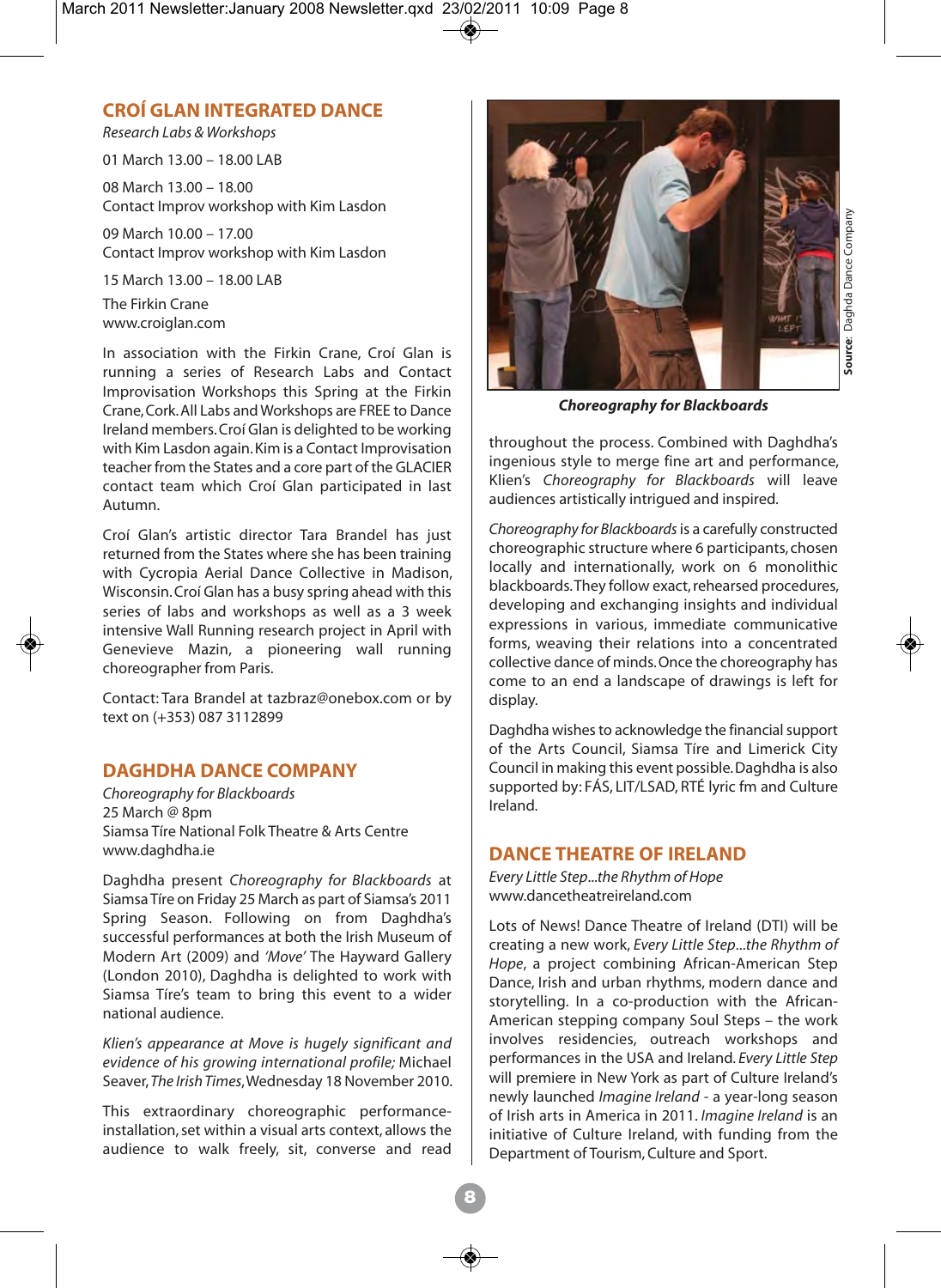#### **CROÍ GLAN INTEGRATED DANCE**

*Research Labs & Workshops*

01 March 13.00 – 18.00 LAB

08 March 13.00 – 18.00 Contact Improv workshop with Kim Lasdon

09 March 10.00 – 17.00 Contact Improv workshop with Kim Lasdon

15 March 13.00 – 18.00 LAB The Firkin Crane www.croiglan.com

In association with the Firkin Crane, Croí Glan is running a series of Research Labs and Contact Improvisation Workshops this Spring at the Firkin Crane, Cork. All Labs and Workshops are FREE to Dance Ireland members. Croí Glan is delighted to be working with Kim Lasdon again. Kim is a Contact Improvisation teacher from the States and a core part of the GLACIER contact team which Croí Glan participated in last Autumn.

Croí Glan's artistic director Tara Brandel has just returned from the States where she has been training with Cycropia Aerial Dance Collective in Madison, Wisconsin. Croí Glan has a busy spring ahead with this series of labs and workshops as well as a 3 week intensive Wall Running research project in April with Genevieve Mazin, a pioneering wall running choreographer from Paris.

Contact: Tara Brandel at tazbraz@onebox.com or by text on (+353) 087 3112899

#### **DAGHDHA DANCE COMPANY**

*Choreography for Blackboards*  25 March @ 8pm Siamsa Tíre National Folk Theatre & Arts Centre www.daghdha.ie

Daghdha present *Choreography for Blackboards* at Siamsa Tíre on Friday 25 March as part of Siamsa's 2011 Spring Season. Following on from Daghdha's successful performances at both the Irish Museum of Modern Art (2009) and *'Move'* The Hayward Gallery (London 2010), Daghdha is delighted to work with Siamsa Tíre's team to bring this event to a wider national audience.

*Klien's appearance at Move is hugely significant and evidence of his growing international profile;* Michael Seaver, *The Irish Times*, Wednesday 18 November 2010.

This extraordinary choreographic performanceinstallation, set within a visual arts context, allows the audience to walk freely, sit, converse and read



*Choreography for Blackboards*

throughout the process. Combined with Daghdha's ingenious style to merge fine art and performance, Klien's *Choreography for Blackboards* will leave audiences artistically intrigued and inspired.

*Choreography for Blackboards*is a carefully constructed choreographic structure where 6 participants, chosen locally and internationally, work on 6 monolithic blackboards. They follow exact, rehearsed procedures, developing and exchanging insights and individual expressions in various, immediate communicative forms, weaving their relations into a concentrated collective dance of minds. Once the choreography has come to an end a landscape of drawings is left for display.

Daghdha wishes to acknowledge the financial support of the Arts Council, Siamsa Tíre and Limerick City Council in making this event possible. Daghdha is also supported by: FÁS, LIT/LSAD, RTÉ lyric fm and Culture Ireland.

#### **DANCE THEATRE OF IRELAND**

*Every Little Step*...*the Rhythm of Hope* www.dancetheatreireland.com

Lots of News! Dance Theatre of Ireland (DTI) will be creating a new work, *Every Little Step*...*the Rhythm of Hope*, a project combining African-American Step Dance, Irish and urban rhythms, modern dance and storytelling. In a co-production with the African-American stepping company Soul Steps – the work involves residencies, outreach workshops and performances in the USA and Ireland. *Every Little Step* will premiere in New York as part of Culture Ireland's newly launched *Imagine Ireland* - a year-long season of Irish arts in America in 2011. *Imagine Ireland* is an initiative of Culture Ireland, with funding from the Department of Tourism, Culture and Sport.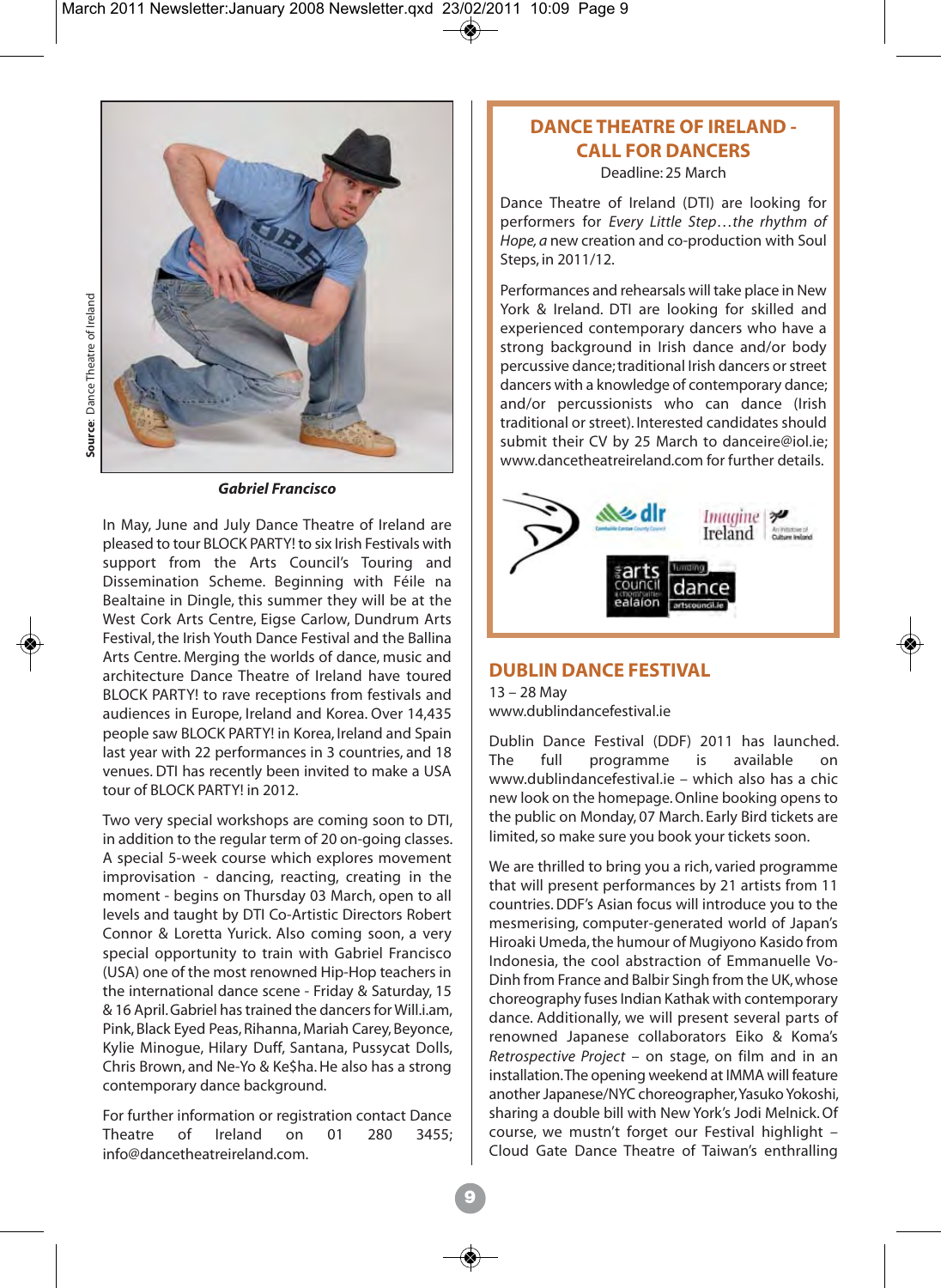

*Gabriel Francisco*

In May, June and July Dance Theatre of Ireland are pleased to tour BLOCK PARTY! to six Irish Festivals with support from the Arts Council's Touring and Dissemination Scheme. Beginning with Féile na Bealtaine in Dingle, this summer they will be at the West Cork Arts Centre, Eigse Carlow, Dundrum Arts Festival, the Irish Youth Dance Festival and the Ballina Arts Centre. Merging the worlds of dance, music and architecture Dance Theatre of Ireland have toured BLOCK PARTY! to rave receptions from festivals and audiences in Europe, Ireland and Korea. Over 14,435 people saw BLOCK PARTY! in Korea, Ireland and Spain last year with 22 performances in 3 countries, and 18 venues. DTI has recently been invited to make a USA tour of BLOCK PARTY! in 2012.

Two very special workshops are coming soon to DTI, in addition to the regular term of 20 on-going classes. A special 5-week course which explores movement improvisation - dancing, reacting, creating in the moment - begins on Thursday 03 March, open to all levels and taught by DTI Co-Artistic Directors Robert Connor & Loretta Yurick. Also coming soon, a very special opportunity to train with Gabriel Francisco (USA) one of the most renowned Hip-Hop teachers in the international dance scene - Friday & Saturday, 15 & 16 April. Gabriel has trained the dancers for Will.i.am, Pink, Black Eyed Peas, Rihanna, Mariah Carey, Beyonce, Kylie Minogue, Hilary Duff, Santana, Pussycat Dolls, Chris Brown, and Ne-Yo & Ke\$ha. He also has a strong contemporary dance background.

For further information or registration contact Dance Theatre of Ireland on 01 280 3455; info@dancetheatreireland.com.

### **DANCE THEATRE OF IRELAND - CALL FOR DANCERS**

Deadline: 25 March

Dance Theatre of Ireland (DTI) are looking for performers for *Every Little Step*…*the rhythm of Hope, a* new creation and co-production with Soul Steps, in 2011/12.

Performances and rehearsals will take place in New York & Ireland. DTI are looking for skilled and experienced contemporary dancers who have a strong background in Irish dance and/or body percussive dance; traditional Irish dancers or street dancers with a knowledge of contemporary dance; and/or percussionists who can dance (Irish traditional or street). Interested candidates should submit their CV by 25 March to danceire@iol.ie; www.dancetheatreireland.com for further details.



#### **DUBLIN DANCE FESTIVAL**

13 – 28 May www.dublindancefestival.ie

Dublin Dance Festival (DDF) 2011 has launched. programme is available on www.dublindancefestival.ie – which also has a chic new look on the homepage. Online booking opens to the public on Monday, 07 March. Early Bird tickets are limited, so make sure you book your tickets soon.

We are thrilled to bring you a rich, varied programme that will present performances by 21 artists from 11 countries. DDF's Asian focus will introduce you to the mesmerising, computer-generated world of Japan's Hiroaki Umeda, the humour of Mugiyono Kasido from Indonesia, the cool abstraction of Emmanuelle Vo-Dinh from France and Balbir Singh from the UK, whose choreography fuses Indian Kathak with contemporary dance. Additionally, we will present several parts of renowned Japanese collaborators Eiko & Koma's *Retrospective Project* – on stage, on film and in an installation. The opening weekend at IMMA will feature another Japanese/NYC choreographer, Yasuko Yokoshi, sharing a double bill with New York's Jodi Melnick. Of course, we mustn't forget our Festival highlight – Cloud Gate Dance Theatre of Taiwan's enthralling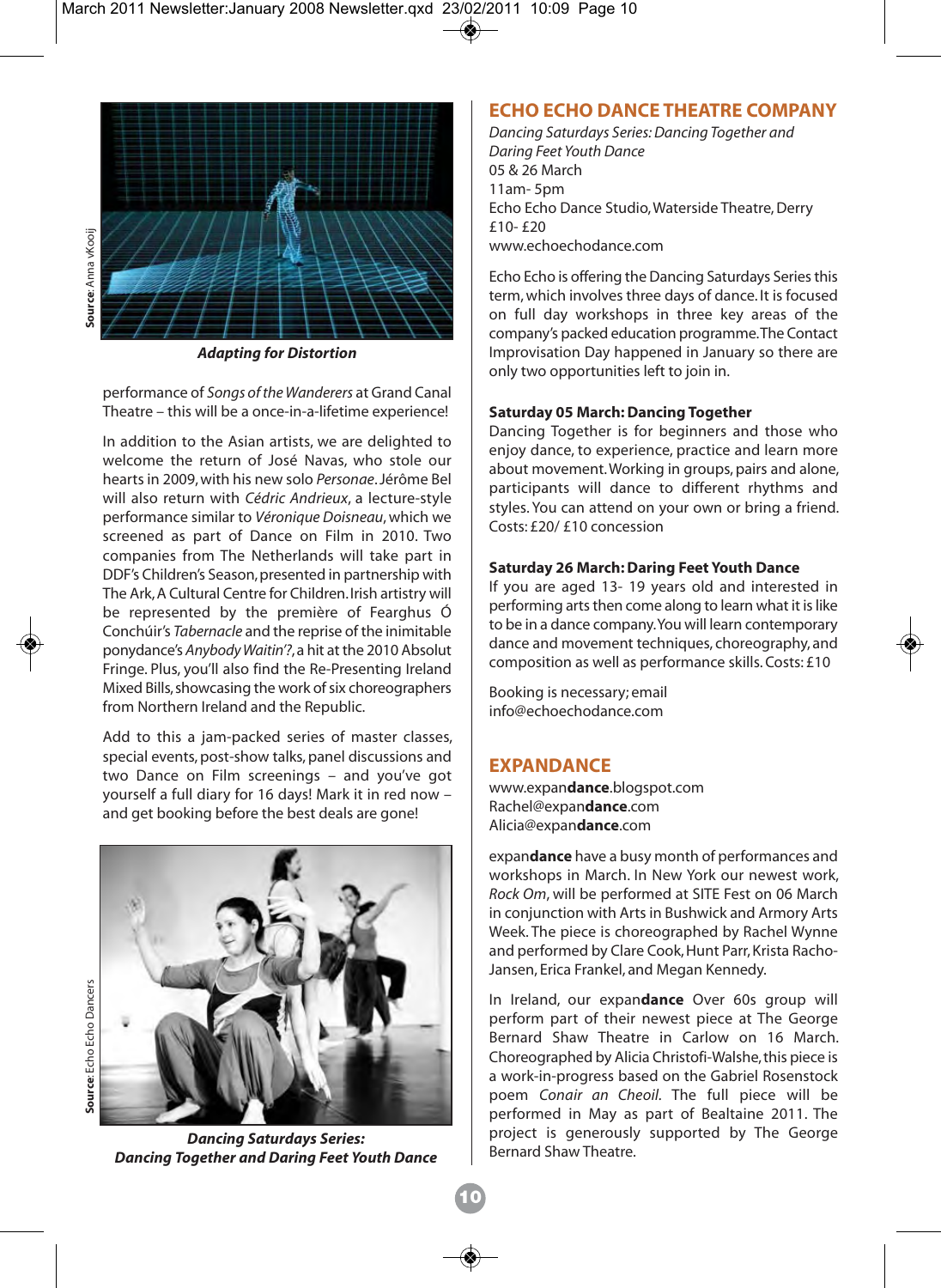

*Adapting for Distortion*

performance of *Songs of the Wanderers* at Grand Canal Theatre – this will be a once-in-a-lifetime experience!

In addition to the Asian artists, we are delighted to welcome the return of José Navas, who stole our hearts in 2009, with his new solo *Personae*. Jérôme Bel will also return with *Cédric Andrieux*, a lecture-style performance similar to *Véronique Doisneau*, which we screened as part of Dance on Film in 2010. Two companies from The Netherlands will take part in DDF's Children's Season, presented in partnership with The Ark, A Cultural Centre for Children. Irish artistry will be represented by the première of Fearghus Ó Conchúir's *Tabernacle* and the reprise of the inimitable ponydance's *Anybody Waitin'?*, a hit at the 2010 Absolut Fringe. Plus, you'll also find the Re-Presenting Ireland Mixed Bills, showcasing the work of six choreographers from Northern Ireland and the Republic.

Add to this a jam-packed series of master classes, special events, post-show talks, panel discussions and two Dance on Film screenings – and you've got yourself a full diary for 16 days! Mark it in red now – and get booking before the best deals are gone!



*Dancing Saturdays Series: Dancing Together and Daring Feet Youth Dance*

#### **ECHO ECHO DANCE THEATRE COMPANY**

*Dancing Saturdays Series: Dancing Together and Daring Feet Youth Dance* 05 & 26 March 11am- 5pm Echo Echo Dance Studio, Waterside Theatre, Derry £10- £20 www.echoechodance.com

Echo Echo is offering the Dancing Saturdays Series this term, which involves three days of dance. It is focused on full day workshops in three key areas of the company's packed education programme. The Contact Improvisation Day happened in January so there are only two opportunities left to join in.

#### **Saturday 05 March: Dancing Together**

Dancing Together is for beginners and those who enjoy dance, to experience, practice and learn more about movement. Working in groups, pairs and alone, participants will dance to different rhythms and styles. You can attend on your own or bring a friend. Costs: £20/ £10 concession

#### **Saturday 26 March: Daring Feet Youth Dance**

If you are aged 13- 19 years old and interested in performing arts then come along to learn what it is like to be in a dance company. You will learn contemporary dance and movement techniques, choreography, and composition as well as performance skills. Costs: £10

Booking is necessary; email info@echoechodance.com

#### **EXPANDANCE**

www.expan**dance**.blogspot.com Rachel@expan**dance**.com Alicia@expan**dance**.com

expan**dance** have a busy month of performances and workshops in March. In New York our newest work, *Rock Om*, will be performed at SITE Fest on 06 March in conjunction with Arts in Bushwick and Armory Arts Week. The piece is choreographed by Rachel Wynne and performed by Clare Cook, Hunt Parr, Krista Racho-Jansen, Erica Frankel, and Megan Kennedy.

In Ireland, our expan**dance** Over 60s group will perform part of their newest piece at The George Bernard Shaw Theatre in Carlow on 16 March. Choreographed by Alicia Christofi-Walshe, this piece is a work-in-progress based on the Gabriel Rosenstock poem *Conair an Cheoil.* The full piece will be performed in May as part of Bealtaine 2011. The project is generously supported by The George Bernard Shaw Theatre.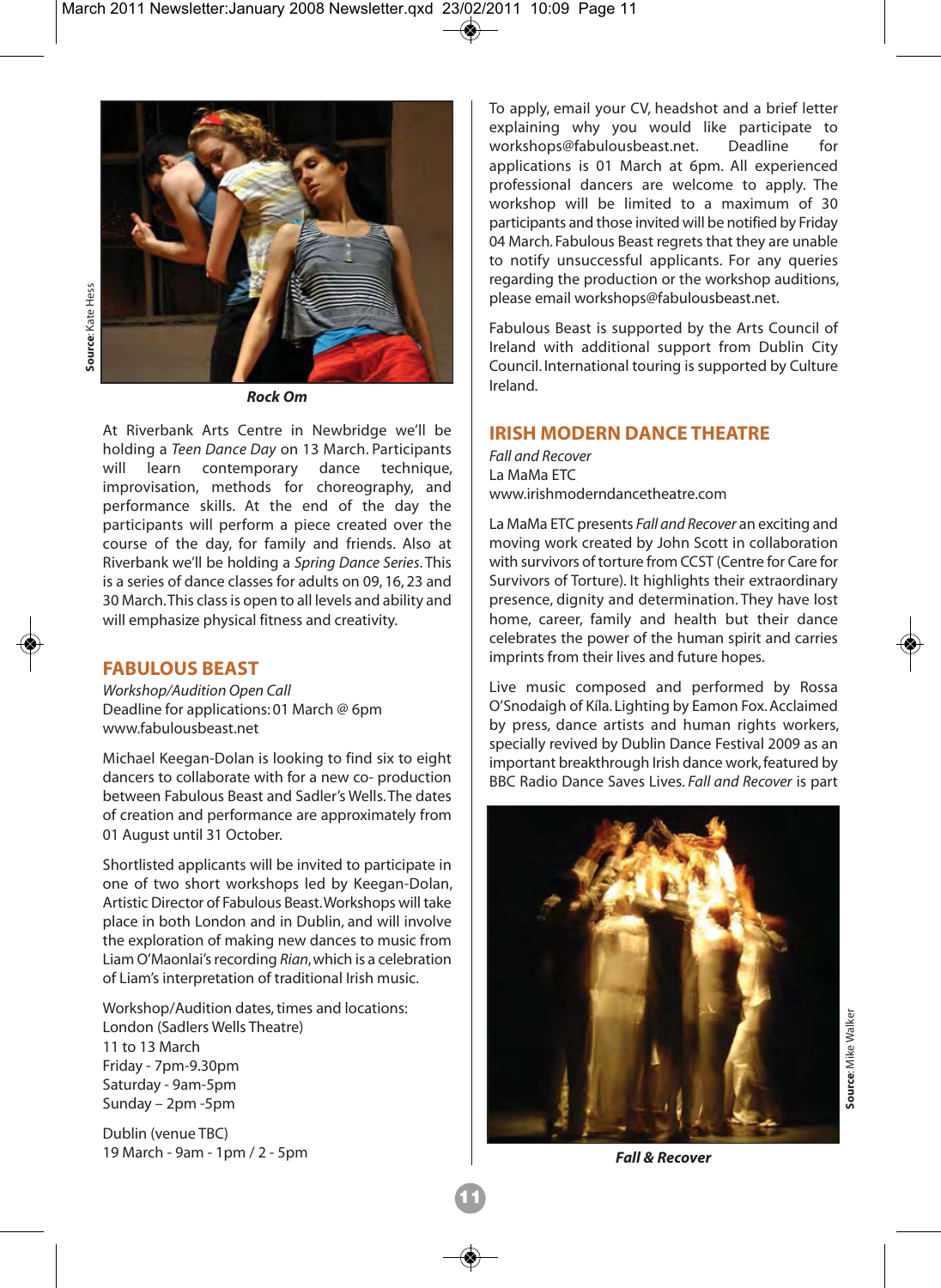

*Rock Om*

At Riverbank Arts Centre in Newbridge we'll be holding a *Teen Dance Day* on 13 March. Participants will learn contemporary dance technique, improvisation, methods for choreography, and performance skills. At the end of the day the participants will perform a piece created over the course of the day, for family and friends. Also at Riverbank we'll be holding a *Spring Dance Series*. This is a series of dance classes for adults on 09, 16, 23 and 30 March. This class is open to all levels and ability and will emphasize physical fitness and creativity.

#### **FABULOUS BEAST**

*Workshop/Audition Open Call* Deadline for applications: 01 March @ 6pm www.fabulousbeast.net

Michael Keegan-Dolan is looking to find six to eight dancers to collaborate with for a new co- production between Fabulous Beast and Sadler's Wells. The dates of creation and performance are approximately from 01 August until 31 October.

Shortlisted applicants will be invited to participate in one of two short workshops led by Keegan-Dolan, Artistic Director of Fabulous Beast. Workshops will take place in both London and in Dublin, and will involve the exploration of making new dances to music from Liam O'Maonlai's recording *Rian*, which is a celebration of Liam's interpretation of traditional Irish music.

Workshop/Audition dates, times and locations: London (Sadlers Wells Theatre) 11 to 13 March Friday - 7pm-9.30pm Saturday - 9am-5pm Sunday – 2pm -5pm

Dublin (venue TBC) 19 March - 9am - 1pm / 2 - 5pm To apply, email your CV, headshot and a brief letter explaining why you would like participate to<br>workshops@fabulousbeast.net. Deadline for workshops@fabulousbeast.net. Deadline for applications is 01 March at 6pm. All experienced professional dancers are welcome to apply. The workshop will be limited to a maximum of 30 participants and those invited will be notified by Friday 04 March. Fabulous Beast regrets that they are unable to notify unsuccessful applicants. For any queries regarding the production or the workshop auditions, please email workshops@fabulousbeast.net.

Fabulous Beast is supported by the Arts Council of Ireland with additional support from Dublin City Council. International touring is supported by Culture Ireland.

#### **IRISH MODERN DANCE THEATRE**

*Fall and Recover* La MaMa ETC www.irishmoderndancetheatre.com

La MaMa ETC presents *Fall and Recover* an exciting and moving work created by John Scott in collaboration with survivors of torture from CCST (Centre for Care for Survivors of Torture). It highlights their extraordinary presence, dignity and determination. They have lost home, career, family and health but their dance celebrates the power of the human spirit and carries imprints from their lives and future hopes.

Live music composed and performed by Rossa O'Snodaigh of Kíla. Lighting by Eamon Fox. Acclaimed by press, dance artists and human rights workers, specially revived by Dublin Dance Festival 2009 as an important breakthrough Irish dance work, featured by BBC Radio Dance Saves Lives. *Fall and Recover* is part



*Fall & Recover*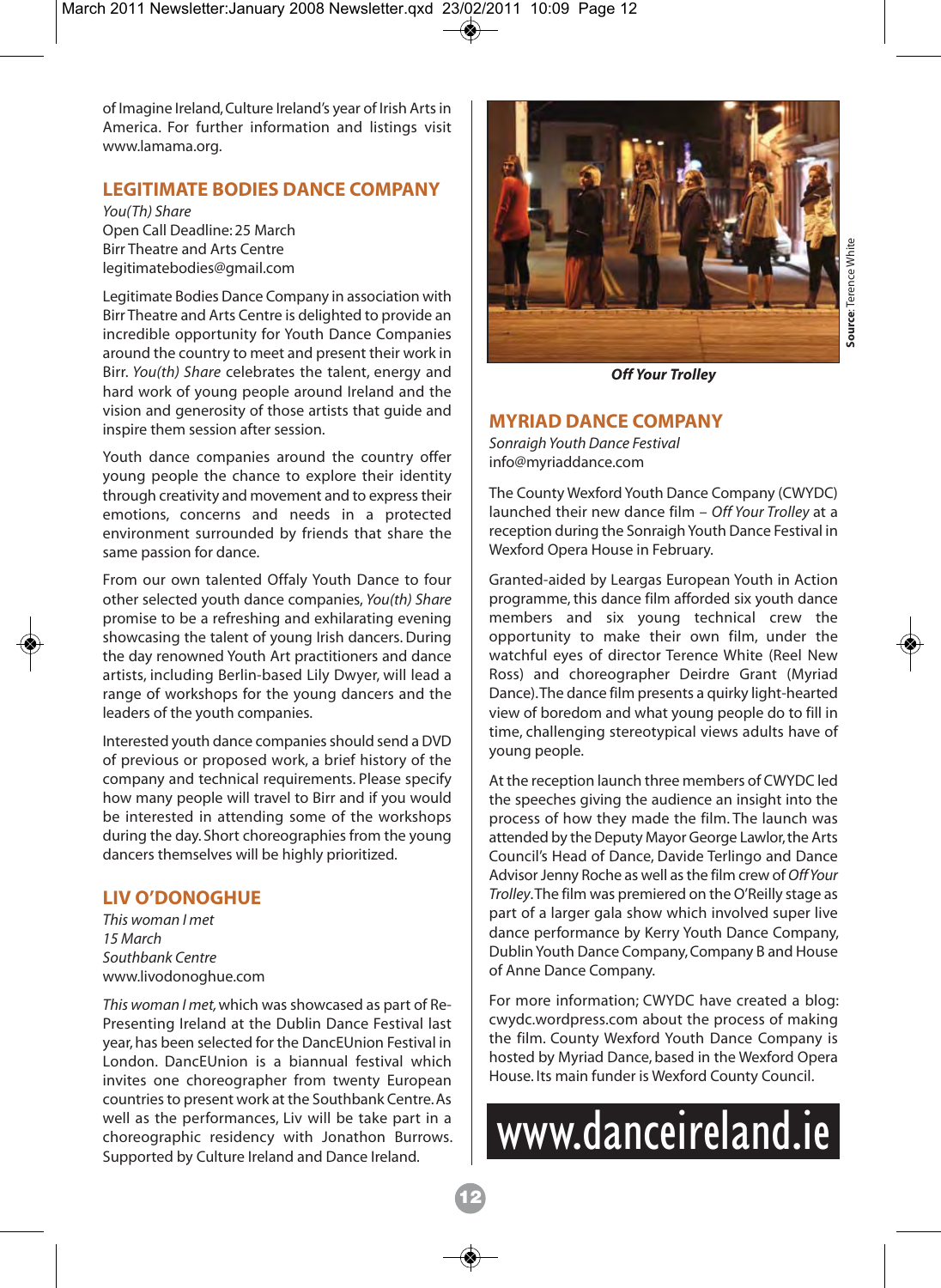of Imagine Ireland, Culture Ireland's year of Irish Arts in America. For further information and listings visit www.lamama.org.

#### **LEGITIMATE BODIES DANCE COMPANY**

*You(Th) Share* Open Call Deadline: 25 March Birr Theatre and Arts Centre legitimatebodies@gmail.com

Legitimate Bodies Dance Company in association with Birr Theatre and Arts Centre is delighted to provide an incredible opportunity for Youth Dance Companies around the country to meet and present their work in Birr. *You(th) Share* celebrates the talent, energy and hard work of young people around Ireland and the vision and generosity of those artists that guide and inspire them session after session.

Youth dance companies around the country offer young people the chance to explore their identity through creativity and movement and to express their emotions, concerns and needs in a protected environment surrounded by friends that share the same passion for dance.

From our own talented Offaly Youth Dance to four other selected youth dance companies, *You(th) Share* promise to be a refreshing and exhilarating evening showcasing the talent of young Irish dancers. During the day renowned Youth Art practitioners and dance artists, including Berlin-based Lily Dwyer, will lead a range of workshops for the young dancers and the leaders of the youth companies.

Interested youth dance companies should send a DVD of previous or proposed work, a brief history of the company and technical requirements. Please specify how many people will travel to Birr and if you would be interested in attending some of the workshops during the day. Short choreographies from the young dancers themselves will be highly prioritized.

#### **LIV O'DONOGHUE**

*This woman I met 15 March Southbank Centre* www.livodonoghue.com

*This woman I met,*which was showcased as part of Re-Presenting Ireland at the Dublin Dance Festival last year, has been selected for the DancEUnion Festival in London. DancEUnion is a biannual festival which invites one choreographer from twenty European countries to present work at the Southbank Centre. As well as the performances, Liv will be take part in a choreographic residency with Jonathon Burrows. Supported by Culture Ireland and Dance Ireland.



*Off Your Trolley*

#### **MYRIAD DANCE COMPANY**

*Sonraigh Youth Dance Festival*  info@myriaddance.com

The County Wexford Youth Dance Company (CWYDC) launched their new dance film – *Off Your Trolley* at a reception during the Sonraigh Youth Dance Festival in Wexford Opera House in February.

Granted-aided by Leargas European Youth in Action programme, this dance film afforded six youth dance members and six young technical crew the opportunity to make their own film, under the watchful eyes of director Terence White (Reel New Ross) and choreographer Deirdre Grant (Myriad Dance). The dance film presents a quirky light-hearted view of boredom and what young people do to fill in time, challenging stereotypical views adults have of young people.

At the reception launch three members of CWYDC led the speeches giving the audience an insight into the process of how they made the film. The launch was attended by the Deputy Mayor George Lawlor, the Arts Council's Head of Dance, Davide Terlingo and Dance Advisor Jenny Roche as well as the film crew of *Off Your Trolley*. The film was premiered on the O'Reilly stage as part of a larger gala show which involved super live dance performance by Kerry Youth Dance Company, Dublin Youth Dance Company, Company B and House of Anne Dance Company.

For more information; CWYDC have created a blog: cwydc.wordpress.com about the process of making the film. County Wexford Youth Dance Company is hosted by Myriad Dance, based in the Wexford Opera House. Its main funder is Wexford County Council.

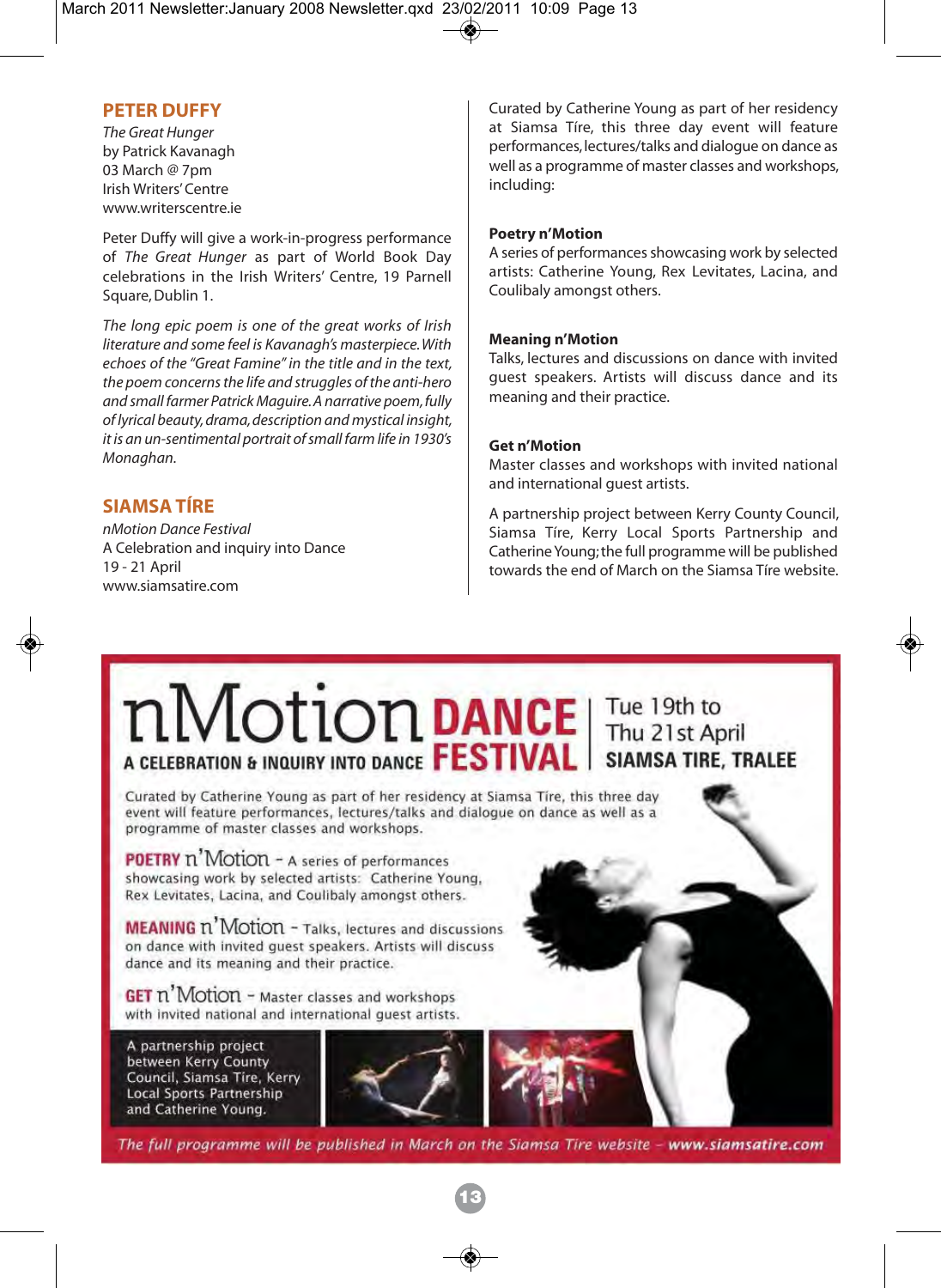#### **PETER DUFFY**

*The Great Hunger* by Patrick Kavanagh 03 March @ 7pm Irish Writers' Centre www.writerscentre.ie

Peter Duffy will give a work-in-progress performance of *The Great Hunger* as part of World Book Day celebrations in the Irish Writers' Centre, 19 Parnell Square, Dublin 1.

*The long epic poem is one of the great works of Irish literature and some feel is Kavanagh's masterpiece. With echoes of the "Great Famine" in the title and in the text, the poem concerns the life and struggles of the anti-hero and small farmer Patrick Maguire. A narrative poem, fully of lyrical beauty, drama, description and mystical insight, it is an un-sentimental portrait of small farm life in 1930's Monaghan.*

### **SIAMSA TÍRE**

*nMotion Dance Festival* A Celebration and inquiry into Dance 19 - 21 April www.siamsatire.com

Curated by Catherine Young as part of her residency at Siamsa Tíre, this three day event will feature performances, lectures/talks and dialogue on dance as well as a programme of master classes and workshops, including:

#### **Poetry n'Motion**

A series of performances showcasing work by selected artists: Catherine Young, Rex Levitates, Lacina, and Coulibaly amongst others.

#### **Meaning n'Motion**

Talks, lectures and discussions on dance with invited guest speakers. Artists will discuss dance and its meaning and their practice.

#### **Get n'Motion**

Master classes and workshops with invited national and international guest artists.

A partnership project between Kerry County Council, Siamsa Tíre, Kerry Local Sports Partnership and Catherine Young; the full programme will be published towards the end of March on the Siamsa Tíre website.

### **nMotion DANCE** The 19th to AGE ACE A THE 21st April SIAMSA TIRE, TRALEE

Curated by Catherine Young as part of her residency at Siamsa Tire, this three day event will feature performances, lectures/talks and dialogue on dance as well as a programme of master classes and workshops.

**POETRY** n'Motion - A series of performances showcasing work by selected artists: Catherine Young. Rex Levitates, Lacina, and Coulibaly amongst others.

**MEANING n' Motion - Talks, lectures and discussions** on dance with invited quest speakers. Artists will discuss dance and its meaning and their practice.

**GET n' Motion** - Master classes and workshops with invited national and international quest artists.

A partnership project between Kerry County Council, Siamsa Tire, Kerry Local Sports Partnership and Catherine Young.



The full programme will be published in March on the Siamsa Tire website - www.siamsatire.com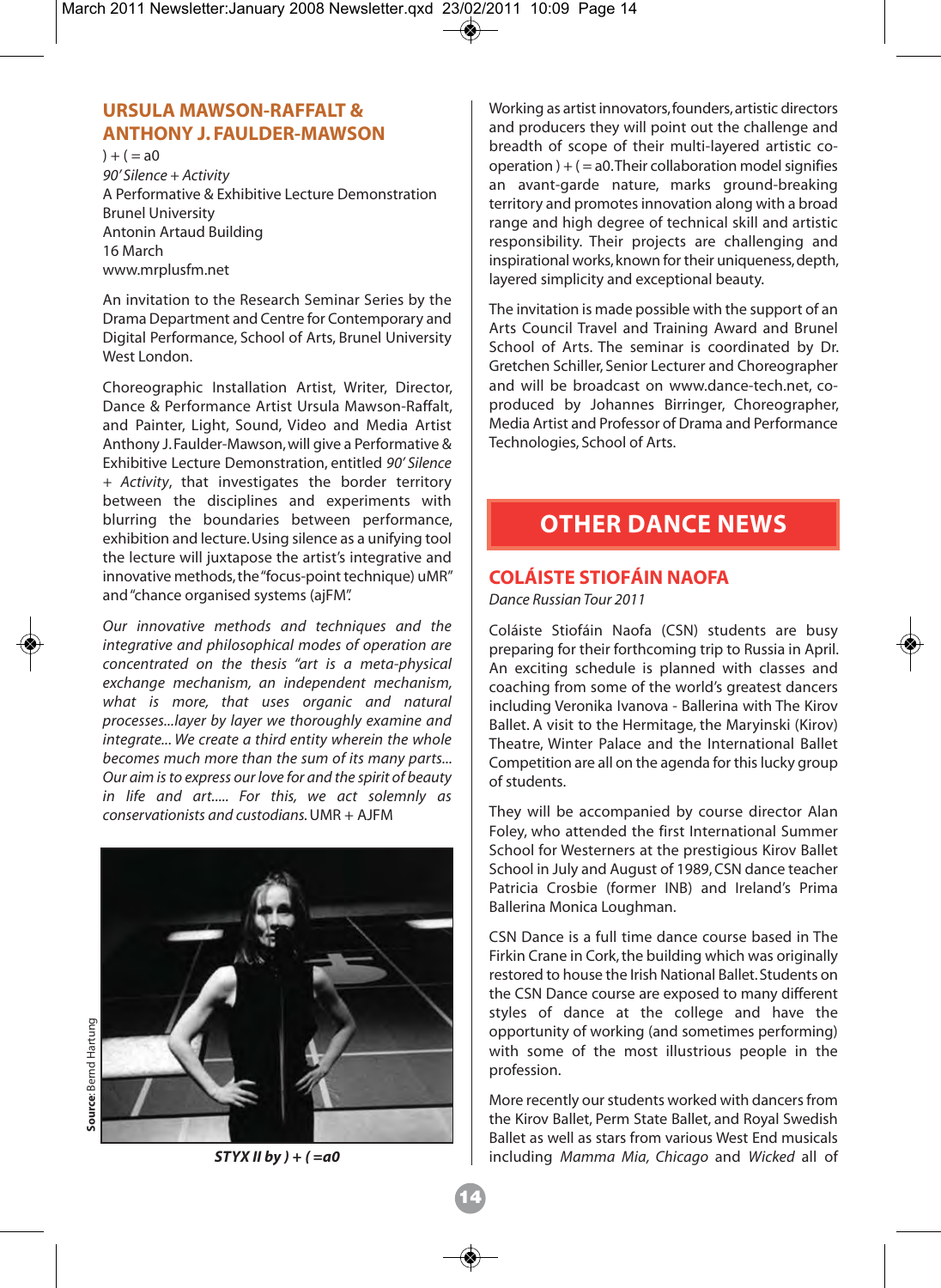#### **URSULA MAWSON-RAFFALT & ANTHONY J. FAULDER-MAWSON**

 $) + ( = a0)$ *90' Silence + Activity*  A Performative & Exhibitive Lecture Demonstration Brunel University Antonin Artaud Building 16 March www.mrplusfm.net

An invitation to the Research Seminar Series by the Drama Department and Centre for Contemporary and Digital Performance, School of Arts, Brunel University West London.

Choreographic Installation Artist, Writer, Director, Dance & Performance Artist Ursula Mawson-Raffalt, and Painter, Light, Sound, Video and Media Artist Anthony J. Faulder-Mawson, will give a Performative & Exhibitive Lecture Demonstration, entitled *90' Silence + Activity*, that investigates the border territory between the disciplines and experiments with blurring the boundaries between performance, exhibition and lecture. Using silence as a unifying tool the lecture will juxtapose the artist's integrative and innovative methods, the "focus-point technique) uMR" and "chance organised systems (ajFM".

*Our innovative methods and techniques and the integrative and philosophical modes of operation are concentrated on the thesis "art is a meta-physical exchange mechanism, an independent mechanism, what is more, that uses organic and natural processes...layer by layer we thoroughly examine and integrate... We create a third entity wherein the whole becomes much more than the sum of its many parts... Our aim is to express our love for and the spirit of beauty in life and art..... For this, we act solemnly as conservationists and custodians.*UMR + AJFM



Source: Bernd Hartung **Source**: Bernd Hartung

Working as artist innovators, founders, artistic directors and producers they will point out the challenge and breadth of scope of their multi-layered artistic cooperation  $) + (= a0$ . Their collaboration model signifies an avant-garde nature, marks ground-breaking territory and promotes innovation along with a broad range and high degree of technical skill and artistic responsibility. Their projects are challenging and inspirational works, known for their uniqueness, depth, layered simplicity and exceptional beauty.

The invitation is made possible with the support of an Arts Council Travel and Training Award and Brunel School of Arts. The seminar is coordinated by Dr. Gretchen Schiller, Senior Lecturer and Choreographer and will be broadcast on www.dance-tech.net, coproduced by Johannes Birringer, Choreographer, Media Artist and Professor of Drama and Performance Technologies, School of Arts.

### **OTHER DANCE NEWS**

#### **COLÁISTE STIOFÁIN NAOFA**

*Dance Russian Tour 2011* 

Coláiste Stiofáin Naofa (CSN) students are busy preparing for their forthcoming trip to Russia in April. An exciting schedule is planned with classes and coaching from some of the world's greatest dancers including Veronika Ivanova - Ballerina with The Kirov Ballet. A visit to the Hermitage, the Maryinski (Kirov) Theatre, Winter Palace and the International Ballet Competition are all on the agenda for this lucky group of students.

They will be accompanied by course director Alan Foley, who attended the first International Summer School for Westerners at the prestigious Kirov Ballet School in July and August of 1989, CSN dance teacher Patricia Crosbie (former INB) and Ireland's Prima Ballerina Monica Loughman.

CSN Dance is a full time dance course based in The Firkin Crane in Cork, the building which was originally restored to house the Irish National Ballet. Students on the CSN Dance course are exposed to many different styles of dance at the college and have the opportunity of working (and sometimes performing) with some of the most illustrious people in the profession.

More recently our students worked with dancers from the Kirov Ballet, Perm State Ballet, and Royal Swedish Ballet as well as stars from various West End musicals *STYX II by ) + ( =a0* including *Mamma Mia, Chicago* and *Wicked* all of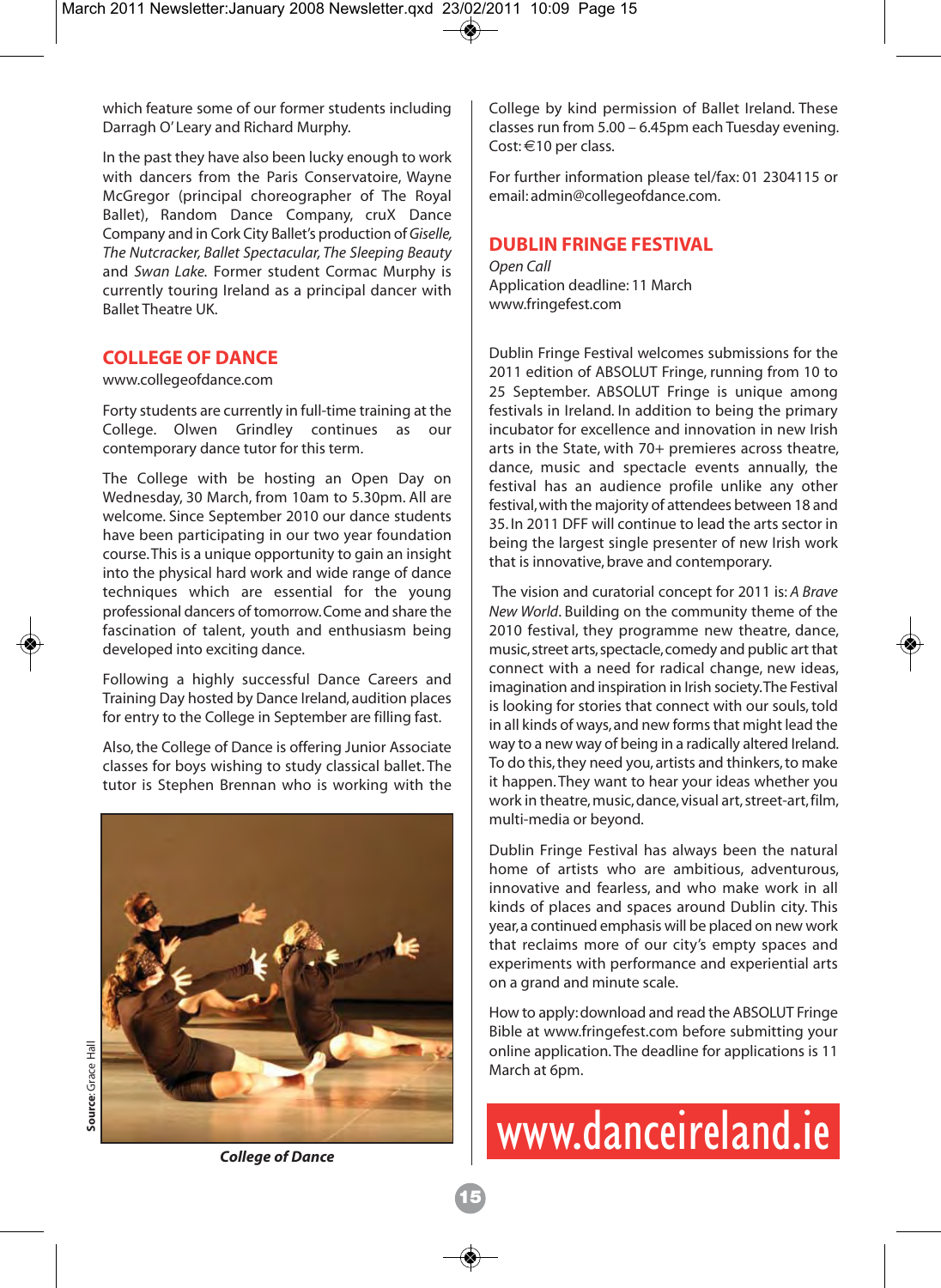which feature some of our former students including Darragh O' Leary and Richard Murphy.

In the past they have also been lucky enough to work with dancers from the Paris Conservatoire, Wayne McGregor (principal choreographer of The Royal Ballet), Random Dance Company, cruX Dance Company and in Cork City Ballet's production of*Giselle, The Nutcracker, Ballet Spectacular, The Sleeping Beauty* and *Swan Lake.* Former student Cormac Murphy is currently touring Ireland as a principal dancer with Ballet Theatre UK.

#### **COLLEGE OF DANCE**

www.collegeofdance.com

Forty students are currently in full-time training at the College. Olwen Grindley continues as our contemporary dance tutor for this term.

The College with be hosting an Open Day on Wednesday, 30 March, from 10am to 5.30pm. All are welcome. Since September 2010 our dance students have been participating in our two year foundation course. This is a unique opportunity to gain an insight into the physical hard work and wide range of dance techniques which are essential for the young professional dancers of tomorrow. Come and share the fascination of talent, youth and enthusiasm being developed into exciting dance.

Following a highly successful Dance Careers and Training Day hosted by Dance Ireland, audition places for entry to the College in September are filling fast.

Also, the College of Dance is offering Junior Associate classes for boys wishing to study classical ballet. The tutor is Stephen Brennan who is working with the



Source: Grace Hall **Source**: Grace Hall

College by kind permission of Ballet Ireland. These classes run from 5.00 – 6.45pm each Tuesday evening. Cost: €10 per class.

For further information please tel/fax: 01 2304115 or email: admin@collegeofdance.com.

#### **DUBLIN FRINGE FESTIVAL**

*Open Call*  Application deadline: 11 March www.fringefest.com

Dublin Fringe Festival welcomes submissions for the 2011 edition of ABSOLUT Fringe, running from 10 to 25 September. ABSOLUT Fringe is unique among festivals in Ireland. In addition to being the primary incubator for excellence and innovation in new Irish arts in the State, with 70+ premieres across theatre, dance, music and spectacle events annually, the festival has an audience profile unlike any other festival, with the majority of attendees between 18 and 35. In 2011 DFF will continue to lead the arts sector in being the largest single presenter of new Irish work that is innovative, brave and contemporary.

The vision and curatorial concept for 2011 is: *A Brave New World*. Building on the community theme of the 2010 festival, they programme new theatre, dance, music, street arts, spectacle, comedy and public art that connect with a need for radical change, new ideas, imagination and inspiration in Irish society. The Festival is looking for stories that connect with our souls, told in all kinds of ways, and new forms that might lead the way to a new way of being in a radically altered Ireland. To do this, they need you, artists and thinkers, to make it happen. They want to hear your ideas whether you work in theatre, music, dance, visual art, street-art, film, multi-media or beyond.

Dublin Fringe Festival has always been the natural home of artists who are ambitious, adventurous, innovative and fearless, and who make work in all kinds of places and spaces around Dublin city. This year, a continued emphasis will be placed on new work that reclaims more of our city's empty spaces and experiments with performance and experiential arts on a grand and minute scale.

How to apply: download and read the ABSOLUT Fringe Bible at www.fringefest.com before submitting your online application. The deadline for applications is 11 March at 6pm.

# www.danceireland.ie

*College of Dance*